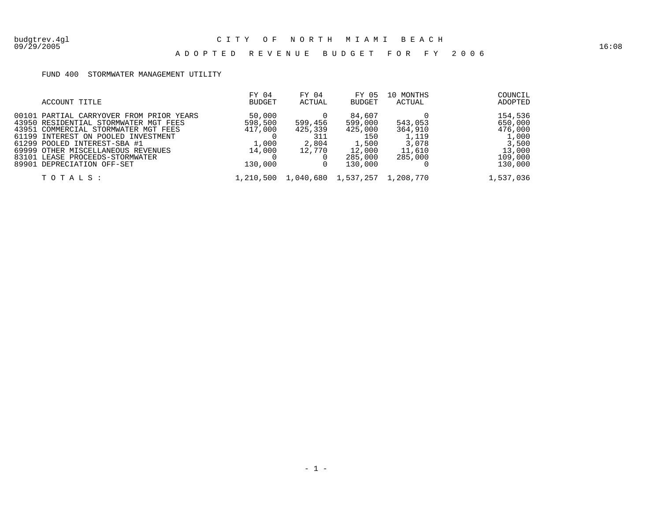### A D O P T E D R E V E N U E B U D G E T F O R F Y 2 0 0 6

### FUND 400 STORMWATER MANAGEMENT UTILITY

| ACCOUNT TITLE                                                                                                                                                                                                                                                                                           | FY 04<br>BUDGET                                            | FY 04<br>ACTUAL                              | FY 05<br>BUDGET                                                              | 10 MONTHS<br>ACTUAL                                       | COUNCIL<br>ADOPTED                                                              |
|---------------------------------------------------------------------------------------------------------------------------------------------------------------------------------------------------------------------------------------------------------------------------------------------------------|------------------------------------------------------------|----------------------------------------------|------------------------------------------------------------------------------|-----------------------------------------------------------|---------------------------------------------------------------------------------|
| 00101 PARTIAL CARRYOVER FROM PRIOR YEARS<br>43950 RESIDENTIAL STORMWATER MGT FEES<br>43951 COMMERCIAL STORMWATER MGT FEES<br>61199 INTEREST ON POOLED INVESTMENT<br>61299 POOLED INTEREST-SBA #1<br>69999 OTHER MISCELLANEOUS REVENUES<br>83101 LEASE PROCEEDS-STORMWATER<br>89901 DEPRECIATION OFF-SET | 50,000<br>598,500<br>417,000<br>1,000<br>14,000<br>130,000 | 599,456<br>425,339<br>311<br>2,804<br>12,770 | 84,607<br>599,000<br>425,000<br>150<br>1,500<br>12,000<br>285,000<br>130,000 | 543,053<br>364,910<br>1,119<br>3,078<br>11,610<br>285,000 | 154,536<br>650,000<br>476,000<br>1,000<br>3,500<br>13,000<br>109,000<br>130,000 |
| TOTALS:                                                                                                                                                                                                                                                                                                 | 1,210,500                                                  | 1,040,680                                    | 1,537,257                                                                    | 1,208,770                                                 | 1,537,036                                                                       |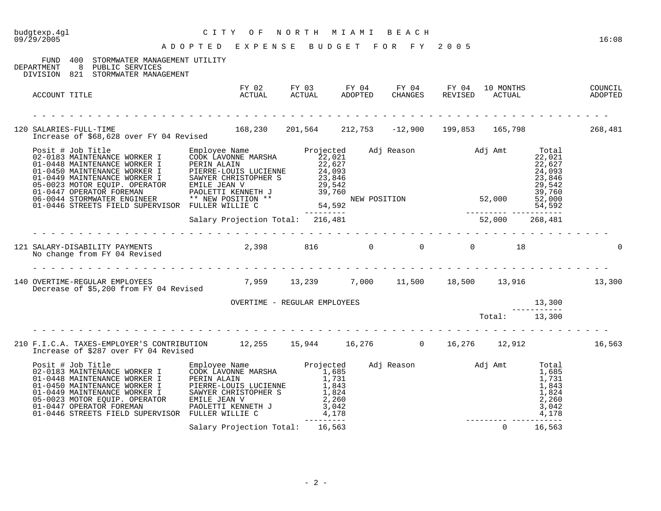| budgtexp.4gl<br>09/29/2005                                                                                                                                                                                                             | CITY OF NORTH MIAMI BEACH<br>ADOPTED EXPENSE BUDGET FOR FY 2005 |                                 |  |                                                        |              | 16:08  |
|----------------------------------------------------------------------------------------------------------------------------------------------------------------------------------------------------------------------------------------|-----------------------------------------------------------------|---------------------------------|--|--------------------------------------------------------|--------------|--------|
|                                                                                                                                                                                                                                        |                                                                 |                                 |  |                                                        |              |        |
| FUND 400 STORMWATER MANAGEMENT UTILITY<br>8 PUBLIC SERVICES<br>DEPARTMENT<br>DIVISION 821 STORMWATER MANAGEMENT                                                                                                                        |                                                                 |                                 |  |                                                        |              |        |
| ACCOUNT TITLE                                                                                                                                                                                                                          |                                                                 |                                 |  |                                                        |              |        |
| . Lie die beste beste beste beste beste beste beste beste bes<br>120 SALARIES-FULL-TIME 168,230 201,564 212,753 -12,900 199,853 165,798 268,481                                                                                        |                                                                 |                                 |  |                                                        |              |        |
|                                                                                                                                                                                                                                        |                                                                 |                                 |  |                                                        |              |        |
|                                                                                                                                                                                                                                        |                                                                 |                                 |  |                                                        |              |        |
|                                                                                                                                                                                                                                        | .                                                               |                                 |  |                                                        |              |        |
|                                                                                                                                                                                                                                        |                                                                 |                                 |  |                                                        |              |        |
| 140 OVERTIME-REGULAR EMPLOYEES 6.13, 259 13, 239 7, 000 11, 500 18, 500 13, 916 13, 300                                                                                                                                                |                                                                 |                                 |  |                                                        |              |        |
|                                                                                                                                                                                                                                        |                                                                 | OVERTIME - REGULAR EMPLOYEES    |  |                                                        |              |        |
|                                                                                                                                                                                                                                        |                                                                 |                                 |  | $\begin{array}{r} 13,300 \\ \text{Total:} \end{array}$ |              |        |
| 210 F.I.C.A. TAXES-EMPLOYER'S CONTRIBUTION 12,255 15,944 16,276 0 16,276 12,912<br>Increase of \$287 over FY 04 Revised                                                                                                                |                                                                 |                                 |  |                                                        |              | 16,563 |
| Posit # Job Title<br>02-0183 MAINTENANCE WORKER I COOK LAVONNE MARSHA 1,685<br>01-0448 MAINTENANCE WORKER I PERIN ALAIN 1,731<br>01-045 OMENTENANCE WORKER I PERIN ALAIN 1,731<br>01-045 MAINTENANCE WORKER I SAWYER CHRISTOPHER S 1,8 |                                                                 |                                 |  |                                                        |              |        |
|                                                                                                                                                                                                                                        |                                                                 | Salary Projection Total: 16,563 |  |                                                        | $0 \t16,563$ |        |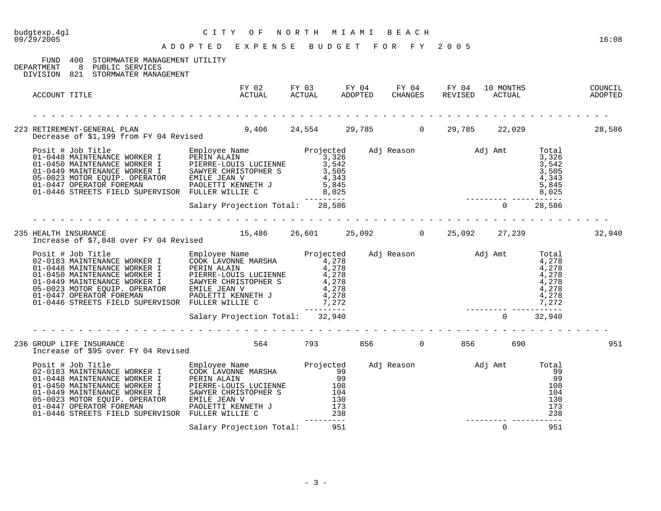| budgtexp.4gl<br>09/29/2005 | CITY OF NORTH MIAMI BEACH<br>ADOPTED EXPENSE BUDGET FOR FY 2005                                                                                                                                                                                                                                                                                                                 |                                                                                                         |  |  |          |     | 16:08 |
|----------------------------|---------------------------------------------------------------------------------------------------------------------------------------------------------------------------------------------------------------------------------------------------------------------------------------------------------------------------------------------------------------------------------|---------------------------------------------------------------------------------------------------------|--|--|----------|-----|-------|
|                            | FUND 400 STORMWATER MANAGEMENT UTILITY<br>DEPARTMENT 8 PUBLIC SERVICES<br>DIVISION 821 STORMWATER MANAGEMENT                                                                                                                                                                                                                                                                    |                                                                                                         |  |  |          |     |       |
| ACCOUNT TITLE              |                                                                                                                                                                                                                                                                                                                                                                                 | FY 02 FY 03 FY 04 FY 04 FY 04 IO MONTHS COUNCIL<br>ACTUAL ACTUAL ADOPTED CHANGES REVISED ACTUAL ADOPTED |  |  |          |     |       |
|                            | 223 RETIREMENT-GENERAL PLAN 586 (24,554 29,785 ) 9,406 24,554 (29,785 ) 22,029 (28,586 ) 29 metrease of \$1,199 from FY 04 Revised                                                                                                                                                                                                                                              |                                                                                                         |  |  |          |     |       |
|                            | $\begin{tabular}{lllllllllllllllllll} \textsc{Posit &\texttt{Job Title} &\texttt{Emplye Name} &\texttt{Projected} &\texttt{Adj Reason} &\texttt{Adj Random} &\texttt{Notal} \\ 01-0448 MAXINTENANCE WORKER I & \texttt{DERIN ALAIN} & 3,326 & 3,326 & 3,326 & 3,326 & 3,326 & 3,326 & 3,326 & 3,326 & 3,326 & 3,326 & 3,326 & 3,326 & 3,326 & 3,326 & 3,326 & 3,326 & 3,326 & $ |                                                                                                         |  |  |          |     |       |
|                            |                                                                                                                                                                                                                                                                                                                                                                                 |                                                                                                         |  |  |          |     |       |
|                            | 235 HEALTH INSURANCE<br>Increase of \$7,848 over FY 04 Revised 15,486 26,601 25,092 0 25,092 27,239 27,239 32,940                                                                                                                                                                                                                                                               |                                                                                                         |  |  |          |     |       |
|                            | Posit # Job Title May Projected adj Reason and Adj Amt Total<br>2010 B3 MAINTENANCE WORKER I EMPLOYE NAME MARSHA<br>01-0448 MAINTENANCE WORKER I PERIN ALAIN<br>01-0449 MAINTENANCE WORKER I PIERRE-LOUIS LUCIENNE<br>01-0449 MAINTENA                                                                                                                                          |                                                                                                         |  |  |          |     |       |
|                            |                                                                                                                                                                                                                                                                                                                                                                                 |                                                                                                         |  |  |          |     |       |
|                            | 236 GROUP LIFE INSURANCE<br>Increase of \$95 over FY 04 Revised                                                                                                                                                                                                                                                                                                                 | 564 793 856 0 856 690                                                                                   |  |  |          |     | 951   |
|                            |                                                                                                                                                                                                                                                                                                                                                                                 | Salary Projection Total: 951                                                                            |  |  | $\Omega$ | 951 |       |
|                            |                                                                                                                                                                                                                                                                                                                                                                                 |                                                                                                         |  |  |          |     |       |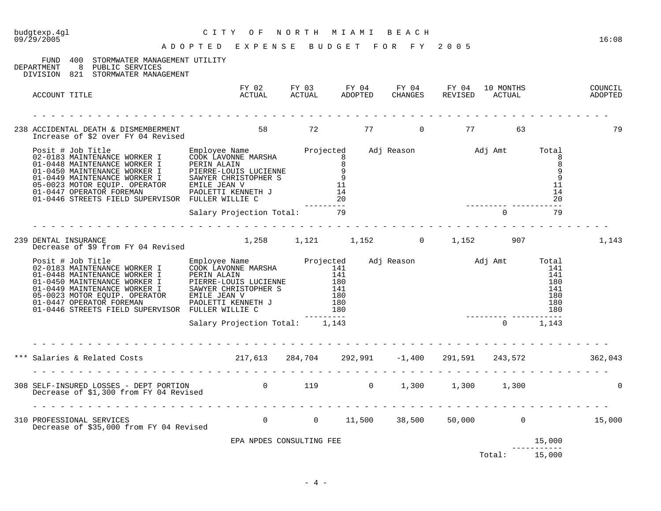| budgtexp.4gl<br>09/29/2005                                                                                                                                                                                                                                                                                                                                                                                                                                                      | CITY OF NORTH MIAMI BEACH<br>ADOPTED EXPENSE BUDGET FOR FY 2005                                         |  |  |                    |              | 16:08 |
|---------------------------------------------------------------------------------------------------------------------------------------------------------------------------------------------------------------------------------------------------------------------------------------------------------------------------------------------------------------------------------------------------------------------------------------------------------------------------------|---------------------------------------------------------------------------------------------------------|--|--|--------------------|--------------|-------|
|                                                                                                                                                                                                                                                                                                                                                                                                                                                                                 |                                                                                                         |  |  |                    |              |       |
| FUND 400 STORMWATER MANAGEMENT UTILITY<br>DEPARTMENT 8 PUBLIC SERVICES<br>DIVISION 821 STORMWATER MANAGEMENT                                                                                                                                                                                                                                                                                                                                                                    |                                                                                                         |  |  |                    |              |       |
| ACCOUNT TITLE                                                                                                                                                                                                                                                                                                                                                                                                                                                                   | FY 02 FY 03 FY 04 FY 04 FY 04 10 MONTHS COUNCIL<br>ACTUAL ACTUAL ADOPTED CHANGES REVISED ACTUAL ADOPTED |  |  |                    |              |       |
|                                                                                                                                                                                                                                                                                                                                                                                                                                                                                 |                                                                                                         |  |  |                    |              |       |
| 238 ACCIDENTAL DEATH & DISMEMBERMENT 58 72 77 0 77 53<br>Increase of \$2 over FY 04 Revised                                                                                                                                                                                                                                                                                                                                                                                     |                                                                                                         |  |  |                    |              | 79    |
| $\begin{tabular}{lllllllllllllllllll} \textsc{Positive} & \textsc{Top} & \textsc{Simple} & \textsc{Simple} & \textsc{Sample} & \textsc{Name} & \textsc{Projected} & \textsc{Adj} \textsc{Reason} & \textsc{Adj} \textsc{Amt} & \textsc{Total} & \textsc{1} & \textsc{1} & \textsc{1} & \textsc{1} & \textsc{1} & \textsc{1} & \textsc{1} & \textsc{1} & \textsc{1} & \textsc{1} & \textsc{1} & \textsc{1} & \textsc{1} & \textsc{1} & \textsc{1} & \textsc{1} & \textsc{1} & \$ |                                                                                                         |  |  |                    |              |       |
|                                                                                                                                                                                                                                                                                                                                                                                                                                                                                 | Salary Projection Total: 79                                                                             |  |  | $\sim$ 0 $\sim$ 79 |              |       |
| 239 DENTAL INSURANCE<br>DENTAL INSURANCE<br>Decrease of \$9 from FY 04 Revised 1,258 1,121 1,152 0 1,152 907                                                                                                                                                                                                                                                                                                                                                                    |                                                                                                         |  |  |                    |              | 1,143 |
|                                                                                                                                                                                                                                                                                                                                                                                                                                                                                 |                                                                                                         |  |  |                    |              |       |
|                                                                                                                                                                                                                                                                                                                                                                                                                                                                                 | Salary Projection Total: 1,143                                                                          |  |  |                    | $0 \t 1,143$ |       |
|                                                                                                                                                                                                                                                                                                                                                                                                                                                                                 |                                                                                                         |  |  |                    |              |       |
|                                                                                                                                                                                                                                                                                                                                                                                                                                                                                 |                                                                                                         |  |  |                    |              |       |
| 310 PROFESSIONAL SERVICES<br>Decrease of \$35,000 from FY 04 Revised        0     0   11,500   38,500   50,000      0        15,000                                                                                                                                                                                                                                                                                                                                             |                                                                                                         |  |  |                    |              |       |
|                                                                                                                                                                                                                                                                                                                                                                                                                                                                                 | EPA NPDES CONSULTING FEE                                                                                |  |  |                    | 15,000       |       |
|                                                                                                                                                                                                                                                                                                                                                                                                                                                                                 |                                                                                                         |  |  | Total: 15,000      | ------------ |       |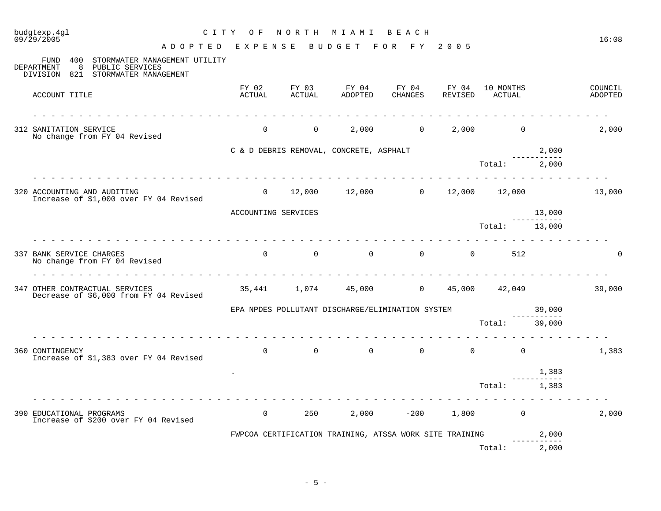| budgtexp.4gl<br>C I T Y<br>09/29/2005<br>ADOPTED EXPENSE                                                                 | O F                 | NORTH                      | M I A M I<br>BUDGET                                     | BEACH<br>FOR FY  | 2 0 0 5          |                     |                      | 16:08              |
|--------------------------------------------------------------------------------------------------------------------------|---------------------|----------------------------|---------------------------------------------------------|------------------|------------------|---------------------|----------------------|--------------------|
| 400<br>STORMWATER MANAGEMENT UTILITY<br>FUND<br>8<br>PUBLIC SERVICES<br>DEPARTMENT<br>DIVISION 821 STORMWATER MANAGEMENT |                     |                            |                                                         |                  |                  |                     |                      |                    |
| ACCOUNT TITLE                                                                                                            | FY 02<br>ACTUAL     | FY 03<br>ACTUAL            | FY 04<br>ADOPTED                                        | FY 04<br>CHANGES | FY 04<br>REVISED | 10 MONTHS<br>ACTUAL |                      | COUNCIL<br>ADOPTED |
| 312 SANITATION SERVICE<br>No change from FY 04 Revised                                                                   | $\mathbf 0$         | $\overline{0}$             | 2,000                                                   | $\overline{0}$   | 2,000            | $\mathbf 0$         |                      | 2,000              |
|                                                                                                                          |                     |                            | C & D DEBRIS REMOVAL, CONCRETE, ASPHALT                 |                  |                  |                     | 2,000                |                    |
|                                                                                                                          |                     |                            |                                                         |                  |                  | Total:              | 2,000                |                    |
| 320 ACCOUNTING AND AUDITING<br>Increase of \$1,000 over FY 04 Revised                                                    | $\Omega$            |                            | $12,000$ $12,000$ 0 $12,000$ $12,000$ $12,000$          |                  |                  |                     |                      | 13,000             |
|                                                                                                                          | ACCOUNTING SERVICES |                            |                                                         |                  |                  |                     | 13,000               |                    |
|                                                                                                                          |                     |                            |                                                         |                  |                  | Total:              | 13,000               |                    |
| 337 BANK SERVICE CHARGES<br>No change from FY 04 Revised                                                                 |                     | $\Omega$<br>$\overline{0}$ | $\Omega$                                                | $\overline{0}$   | $\Omega$         | 512                 |                      |                    |
| 347 OTHER CONTRACTUAL SERVICES<br>Decrease of \$6,000 from FY 04 Revised                                                 |                     | 35,441 1,074               | 45,000                                                  | $\overline{0}$   | 45,000           | 42,049              |                      | 39,000             |
|                                                                                                                          |                     |                            | EPA NPDES POLLUTANT DISCHARGE/ELIMINATION SYSTEM        |                  |                  |                     | 39,000               |                    |
|                                                                                                                          |                     |                            |                                                         |                  |                  | Total:              | 39,000               |                    |
| 360 CONTINGENCY<br>Increase of \$1,383 over FY 04 Revised                                                                | $\overline{0}$      | $\Omega$                   | $\Omega$                                                | $\Omega$         | $\Omega$         | $\Omega$            |                      | 1,383              |
|                                                                                                                          |                     |                            |                                                         |                  |                  |                     | 1,383<br>----------- |                    |
|                                                                                                                          |                     |                            |                                                         |                  |                  | Total:              | 1,383                |                    |
| 390 EDUCATIONAL PROGRAMS<br>Increase of \$200 over FY 04 Revised                                                         | $\overline{0}$      | 250                        | 2,000                                                   | $-200$           | 1,800            | $\overline{0}$      |                      | 2,000              |
|                                                                                                                          |                     |                            | FWPCOA CERTIFICATION TRAINING, ATSSA WORK SITE TRAINING |                  |                  |                     | 2,000                |                    |
|                                                                                                                          |                     |                            |                                                         |                  |                  | Total:              | 2,000                |                    |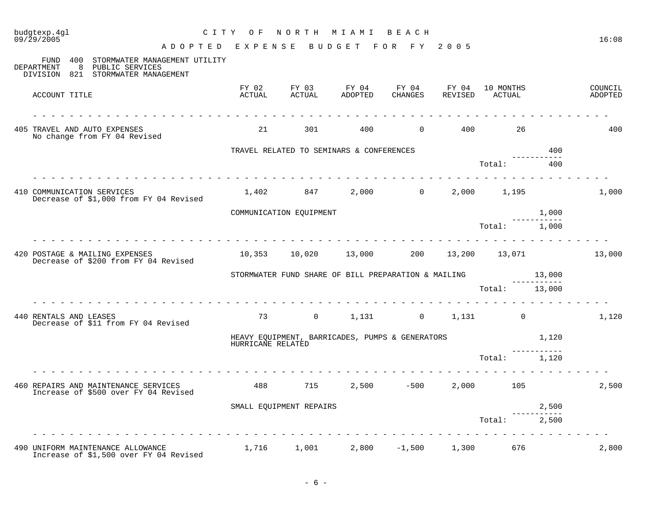| budgtexp.4gl<br>09/29/2005                                                                                                                                                                                                                                                                                                                                                                                                                                                                                                | CITY OF           |                         | NORTH MIAMI BEACH                                   |                        |                       |                             |        | 16:08              |
|---------------------------------------------------------------------------------------------------------------------------------------------------------------------------------------------------------------------------------------------------------------------------------------------------------------------------------------------------------------------------------------------------------------------------------------------------------------------------------------------------------------------------|-------------------|-------------------------|-----------------------------------------------------|------------------------|-----------------------|-----------------------------|--------|--------------------|
| A D O P T E D E X P E N S E B U D G E T F O R F Y 2005                                                                                                                                                                                                                                                                                                                                                                                                                                                                    |                   |                         |                                                     |                        |                       |                             |        |                    |
| FUND 400 STORMWATER MANAGEMENT UTILITY<br>DEPARTMENT<br>8 PUBLIC SERVICES<br>DIVISION 821 STORMWATER MANAGEMENT                                                                                                                                                                                                                                                                                                                                                                                                           |                   |                         |                                                     |                        |                       |                             |        |                    |
| ACCOUNT TITLE                                                                                                                                                                                                                                                                                                                                                                                                                                                                                                             | FY 02<br>ACTUAL   | FY 03<br>ACTUAL         | FY 04<br>ADOPTED                                    | FY 04 FY 04<br>CHANGES |                       | 10 MONTHS<br>REVISED ACTUAL |        | COUNCIL<br>ADOPTED |
|                                                                                                                                                                                                                                                                                                                                                                                                                                                                                                                           |                   |                         |                                                     |                        |                       |                             |        |                    |
| 405 TRAVEL AND AUTO EXPENSES<br>No change from FY 04 Revised                                                                                                                                                                                                                                                                                                                                                                                                                                                              | 21                | 301                     | 400                                                 |                        | $0 \qquad \qquad 400$ | 26                          |        | 400                |
|                                                                                                                                                                                                                                                                                                                                                                                                                                                                                                                           |                   |                         | TRAVEL RELATED TO SEMINARS & CONFERENCES            |                        |                       |                             | 400    |                    |
|                                                                                                                                                                                                                                                                                                                                                                                                                                                                                                                           |                   |                         |                                                     |                        |                       | Total:                      | 400    |                    |
| 410 COMMUNICATION SERVICES<br>Decrease of \$1,000 from FY 04 Revised                                                                                                                                                                                                                                                                                                                                                                                                                                                      |                   | 1,402 847               |                                                     | $2,000$ 0              |                       | 2,000 1,195                 |        | 1,000              |
|                                                                                                                                                                                                                                                                                                                                                                                                                                                                                                                           |                   | COMMUNICATION EQUIPMENT |                                                     |                        |                       |                             | 1,000  |                    |
|                                                                                                                                                                                                                                                                                                                                                                                                                                                                                                                           |                   |                         |                                                     |                        |                       | Total: 1,000                |        |                    |
| $\frac{1}{2} \left( \begin{array}{ccc} 1 & 1 & 1 \\ 1 & 1 & 1 \end{array} \right) = \left( \begin{array}{ccc} 1 & 1 & 1 \\ 1 & 1 & 1 \end{array} \right) = \left( \begin{array}{ccc} 1 & 1 & 1 \\ 1 & 1 & 1 \end{array} \right) = \left( \begin{array}{ccc} 1 & 1 & 1 \\ 1 & 1 & 1 \end{array} \right) = \left( \begin{array}{ccc} 1 & 1 & 1 \\ 1 & 1 & 1 \end{array} \right) = \left( \begin{array}{ccc} 1 & 1 & 1 \\ 1 & 1 & 1 \end{array} \$<br>420 POSTAGE & MAILING EXPENSES<br>Decrease of \$200 from FY 04 Revised |                   |                         | 10,353  10,020  13,000  200  13,200  13,071         | <u>.</u>               |                       |                             |        | 13,000             |
|                                                                                                                                                                                                                                                                                                                                                                                                                                                                                                                           |                   |                         | STORMWATER FUND SHARE OF BILL PREPARATION & MAILING |                        |                       |                             | 13,000 |                    |
|                                                                                                                                                                                                                                                                                                                                                                                                                                                                                                                           |                   |                         |                                                     |                        |                       | Total: 13,000               |        |                    |
| 440 RENTALS AND LEASES<br>Decrease of \$11 from FY 04 Revised                                                                                                                                                                                                                                                                                                                                                                                                                                                             | 73                | $\overline{0}$          |                                                     | $1,131$ 0 $1,131$ 0    |                       |                             |        | 1,120              |
|                                                                                                                                                                                                                                                                                                                                                                                                                                                                                                                           | HURRICANE RELATED |                         | HEAVY EQUIPMENT, BARRICADES, PUMPS & GENERATORS     |                        |                       |                             | 1,120  |                    |
|                                                                                                                                                                                                                                                                                                                                                                                                                                                                                                                           |                   |                         |                                                     |                        |                       | Total: 1,120                |        |                    |
| 460 REPAIRS AND MAINTENANCE SERVICES<br>Increase of \$500 over FY 04 Revised                                                                                                                                                                                                                                                                                                                                                                                                                                              | 488               | 715                     |                                                     | $2,500 -500$           |                       | 2,000 105                   |        | 2,500              |
|                                                                                                                                                                                                                                                                                                                                                                                                                                                                                                                           |                   | SMALL EQUIPMENT REPAIRS |                                                     |                        |                       |                             | 2,500  |                    |
|                                                                                                                                                                                                                                                                                                                                                                                                                                                                                                                           |                   |                         |                                                     |                        |                       | Total:                      | 2,500  |                    |
| 490 UNIFORM MAINTENANCE ALLOWANCE<br>Increase of \$1,500 over FY 04 Revised                                                                                                                                                                                                                                                                                                                                                                                                                                               |                   |                         | $1,716$ $1,001$ $2,800$ $-1,500$ $1,300$ $676$      |                        |                       |                             |        | 2,800              |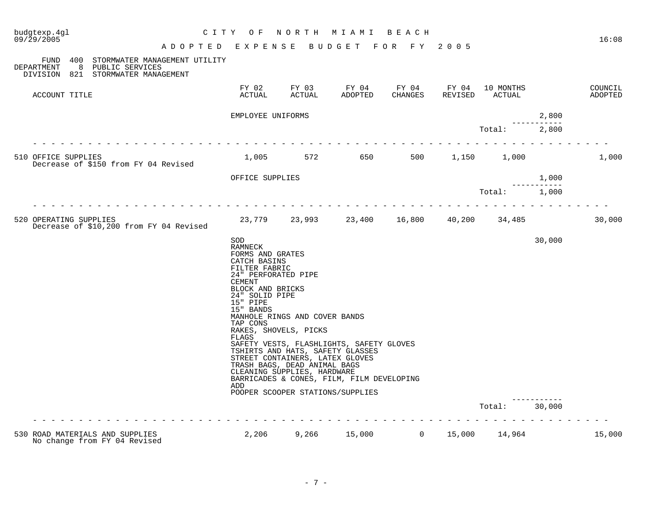| budgtexp.4gl<br>09/29/2005                                                                                         | NORTH MIAMI<br>CITY OF<br>BEACH                                                                                                                                                                 |                                                                                                                                                          |                                                                                                                                                               |                  |                  |                     |                                       |                    |  |  |
|--------------------------------------------------------------------------------------------------------------------|-------------------------------------------------------------------------------------------------------------------------------------------------------------------------------------------------|----------------------------------------------------------------------------------------------------------------------------------------------------------|---------------------------------------------------------------------------------------------------------------------------------------------------------------|------------------|------------------|---------------------|---------------------------------------|--------------------|--|--|
|                                                                                                                    | A D O P T E D E X P E N S E                                                                                                                                                                     |                                                                                                                                                          | BUDGET FOR FY 2005                                                                                                                                            |                  |                  |                     |                                       | 16:08              |  |  |
| 400 STORMWATER MANAGEMENT UTILITY<br>FUND<br>DEPARTMENT<br>8 PUBLIC SERVICES<br>DIVISION 821 STORMWATER MANAGEMENT |                                                                                                                                                                                                 |                                                                                                                                                          |                                                                                                                                                               |                  |                  |                     |                                       |                    |  |  |
| ACCOUNT TITLE                                                                                                      | FY 02<br>ACTUAL                                                                                                                                                                                 | FY 03<br>ACTUAL                                                                                                                                          | FY 04<br>ADOPTED                                                                                                                                              | FY 04<br>CHANGES | FY 04<br>REVISED | 10 MONTHS<br>ACTUAL |                                       | COUNCIL<br>ADOPTED |  |  |
|                                                                                                                    | EMPLOYEE UNIFORMS                                                                                                                                                                               |                                                                                                                                                          |                                                                                                                                                               |                  |                  |                     | 2,800                                 |                    |  |  |
|                                                                                                                    |                                                                                                                                                                                                 |                                                                                                                                                          |                                                                                                                                                               |                  |                  | Total:              | 2,800                                 |                    |  |  |
| 510 OFFICE SUPPLIES<br>Decrease of \$150 from FY 04 Revised                                                        |                                                                                                                                                                                                 |                                                                                                                                                          | 1,005 572 650                                                                                                                                                 | 500 000          |                  | 1,150 1,000         |                                       | 1,000              |  |  |
|                                                                                                                    | OFFICE SUPPLIES                                                                                                                                                                                 |                                                                                                                                                          |                                                                                                                                                               |                  |                  |                     | 1,000<br>----------                   |                    |  |  |
|                                                                                                                    |                                                                                                                                                                                                 |                                                                                                                                                          |                                                                                                                                                               |                  |                  | Total:              | 1,000                                 |                    |  |  |
| 520 OPERATING SUPPLIES<br>Decrease of \$10,200 from FY 04 Revised                                                  |                                                                                                                                                                                                 |                                                                                                                                                          | 23,779 23,993 23,400 16,800                                                                                                                                   |                  | 40,200           | 34,485              |                                       | 30,000             |  |  |
|                                                                                                                    | SOD<br>RAMNECK<br>FORMS AND GRATES<br>CATCH BASINS<br>FILTER FABRIC<br>24" PERFORATED PIPE<br>CEMENT<br>BLOCK AND BRICKS<br>24" SOLID PIPE<br>15" PIPE<br>15" BANDS<br>TAP CONS<br>FLAGS<br>ADD | MANHOLE RINGS AND COVER BANDS<br>RAKES, SHOVELS, PICKS<br>STREET CONTAINERS, LATEX GLOVES<br>TRASH BAGS, DEAD ANIMAL BAGS<br>CLEANING SUPPLIES, HARDWARE | SAFETY VESTS, FLASHLIGHTS, SAFETY GLOVES<br>TSHIRTS AND HATS, SAFETY GLASSES<br>BARRICADES & CONES, FILM, FILM DEVELOPING<br>POOPER SCOOPER STATIONS/SUPPLIES |                  |                  | Total:              | 30,000<br>. _ _ _ _ _ _ _ _<br>30,000 |                    |  |  |
|                                                                                                                    |                                                                                                                                                                                                 |                                                                                                                                                          |                                                                                                                                                               |                  |                  |                     |                                       |                    |  |  |
| 530 ROAD MATERIALS AND SUPPLIES<br>No change from FY 04 Revised                                                    | 2,206                                                                                                                                                                                           |                                                                                                                                                          | 9,266 15,000                                                                                                                                                  | $\overline{0}$   | 15,000           | 14,964              |                                       | 15,000             |  |  |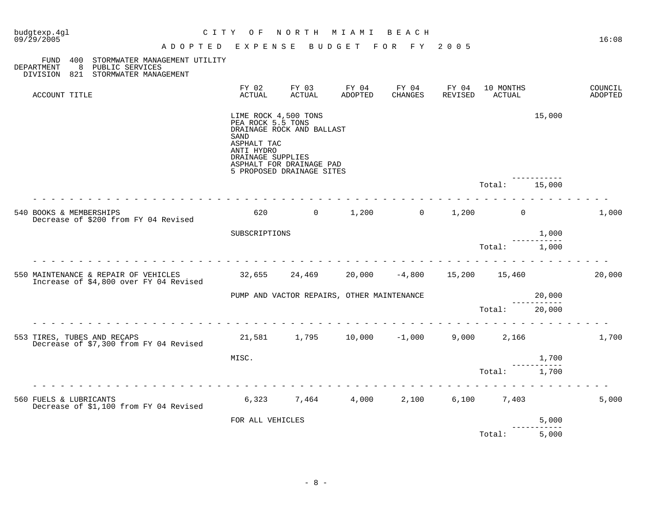| budgtexp.4gl<br>09/29/2005                                                                                                  | C I T Y<br>O F<br>ADOPTED EXPENSE                                                                          | NORTH                                                                              | M I A M I<br><b>BUDGET</b>                 | BEACH<br>FOR FY  | 2 0 0 5                     |                     |                   | 16:08                     |
|-----------------------------------------------------------------------------------------------------------------------------|------------------------------------------------------------------------------------------------------------|------------------------------------------------------------------------------------|--------------------------------------------|------------------|-----------------------------|---------------------|-------------------|---------------------------|
| 400<br>STORMWATER MANAGEMENT UTILITY<br>FUND<br>DEPARTMENT<br>8<br>PUBLIC SERVICES<br>821 STORMWATER MANAGEMENT<br>DIVISION |                                                                                                            |                                                                                    |                                            |                  |                             |                     |                   |                           |
| ACCOUNT TITLE                                                                                                               | FY 02<br>ACTUAL                                                                                            | FY 03<br>ACTUAL                                                                    | FY 04<br>ADOPTED                           | FY 04<br>CHANGES | FY 04<br>REVISED            | 10 MONTHS<br>ACTUAL |                   | COUNCIL<br><b>ADOPTED</b> |
|                                                                                                                             | LIME ROCK 4,500 TONS<br>PEA ROCK 5.5 TONS<br><b>SAND</b><br>ASPHALT TAC<br>ANTI HYDRO<br>DRAINAGE SUPPLIES | DRAINAGE ROCK AND BALLAST<br>ASPHALT FOR DRAINAGE PAD<br>5 PROPOSED DRAINAGE SITES |                                            |                  |                             |                     | 15,000            |                           |
|                                                                                                                             |                                                                                                            |                                                                                    |                                            |                  |                             | Total:              | 15,000            |                           |
| 540 BOOKS & MEMBERSHIPS<br>Decrease of \$200 from FY 04 Revised                                                             | 620                                                                                                        | $\overline{0}$                                                                     | 1,200                                      | $\Omega$         | 1,200                       | $\mathbf{0}$        |                   | 1,000                     |
|                                                                                                                             | SUBSCRIPTIONS                                                                                              |                                                                                    |                                            |                  |                             |                     | 1,000             |                           |
|                                                                                                                             |                                                                                                            |                                                                                    |                                            |                  |                             | Total:              | 1,000             |                           |
| 550 MAINTENANCE & REPAIR OF VEHICLES<br>Increase of \$4,800 over FY 04 Revised                                              | 32,655                                                                                                     | 24,469                                                                             |                                            |                  | 20,000 -4,800 15,200 15,460 |                     |                   | 20,000                    |
|                                                                                                                             |                                                                                                            |                                                                                    | PUMP AND VACTOR REPAIRS, OTHER MAINTENANCE |                  |                             |                     | 20,000            |                           |
|                                                                                                                             |                                                                                                            |                                                                                    |                                            |                  |                             | Total:              | 20,000            |                           |
| 553 TIRES, TUBES AND RECAPS<br>Decrease of \$7,300 from FY 04 Revised                                                       |                                                                                                            |                                                                                    | 21,581 1,795 10,000 -1,000                 |                  | 9,000                       | 2,166               |                   | 1,700                     |
|                                                                                                                             | MISC.                                                                                                      |                                                                                    |                                            |                  |                             |                     | 1,700             |                           |
|                                                                                                                             |                                                                                                            |                                                                                    |                                            |                  |                             | Total:              | 1,700             |                           |
| 560 FUELS & LUBRICANTS<br>Decrease of \$1,100 from FY 04 Revised                                                            | 6,323                                                                                                      | 7,464                                                                              | 4,000                                      | 2,100            | 6,100                       | 7,403               |                   | 5,000                     |
|                                                                                                                             | FOR ALL VEHICLES                                                                                           |                                                                                    |                                            |                  |                             |                     | 5,000<br>-------- |                           |
|                                                                                                                             |                                                                                                            |                                                                                    |                                            |                  |                             | Total:              | 5,000             |                           |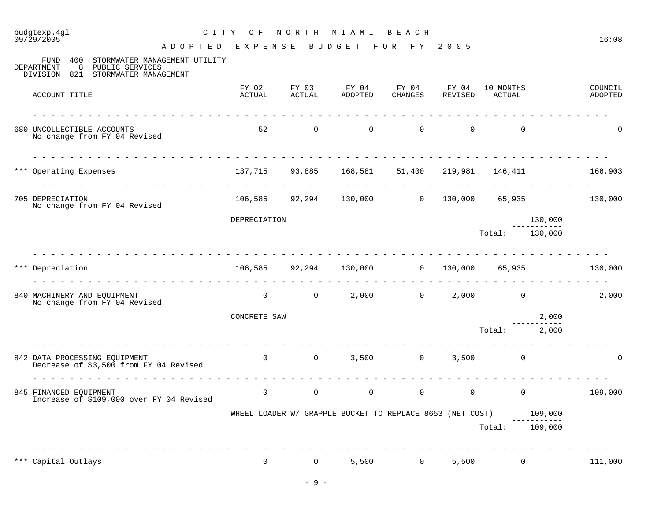# budgtexp.4gl C I T Y O F N O R T H M I A M I B E A C H

09/29/2005 16:08 A D O P T E D E X P E N S E B U D G E T F O R F Y 2 0 0 5

| 400<br>STORMWATER MANAGEMENT UTILITY<br>FUND<br>8<br>DEPARTMENT<br>PUBLIC SERVICES<br>DIVISION 821 STORMWATER MANAGEMENT |                                                                                                                                                                                                                                                                                                                                                                                                                                                                                              |                 |                                                                   |                   |                  |                                  |                         |                    |
|--------------------------------------------------------------------------------------------------------------------------|----------------------------------------------------------------------------------------------------------------------------------------------------------------------------------------------------------------------------------------------------------------------------------------------------------------------------------------------------------------------------------------------------------------------------------------------------------------------------------------------|-----------------|-------------------------------------------------------------------|-------------------|------------------|----------------------------------|-------------------------|--------------------|
| ACCOUNT TITLE                                                                                                            | FY 02<br>ACTUAL                                                                                                                                                                                                                                                                                                                                                                                                                                                                              | FY 03<br>ACTUAL | FY 04<br>ADOPTED                                                  | FY 04<br>CHANGES  | FY 04<br>REVISED | 10 MONTHS<br>ACTUAL              |                         | COUNCIL<br>ADOPTED |
|                                                                                                                          |                                                                                                                                                                                                                                                                                                                                                                                                                                                                                              |                 |                                                                   |                   |                  |                                  |                         |                    |
| 680 UNCOLLECTIBLE ACCOUNTS<br>No change from FY 04 Revised                                                               | 52                                                                                                                                                                                                                                                                                                                                                                                                                                                                                           | $\mathsf{O}$    | $\Omega$                                                          | $\Omega$          | $\Omega$         | $\Omega$                         |                         | $\Omega$           |
| <u>in die die die die die die die die die d</u>                                                                          |                                                                                                                                                                                                                                                                                                                                                                                                                                                                                              |                 |                                                                   |                   |                  |                                  |                         |                    |
| *** Operating Expenses                                                                                                   |                                                                                                                                                                                                                                                                                                                                                                                                                                                                                              |                 | 137,715 93,885 168,581 51,400 219,981 146,411                     |                   |                  |                                  |                         | 166,903            |
| 705 DEPRECIATION<br>No change from FY 04 Revised                                                                         |                                                                                                                                                                                                                                                                                                                                                                                                                                                                                              |                 | $106,585$ 92,294 130,000 0 130,000 65,935 130,000                 |                   |                  |                                  |                         |                    |
|                                                                                                                          | DEPRECIATION                                                                                                                                                                                                                                                                                                                                                                                                                                                                                 |                 |                                                                   |                   |                  |                                  | 130,000<br>------------ |                    |
|                                                                                                                          |                                                                                                                                                                                                                                                                                                                                                                                                                                                                                              |                 |                                                                   |                   |                  | Total: 130,000                   |                         |                    |
|                                                                                                                          |                                                                                                                                                                                                                                                                                                                                                                                                                                                                                              |                 |                                                                   |                   |                  |                                  |                         |                    |
| Depreciation                                                                                                             |                                                                                                                                                                                                                                                                                                                                                                                                                                                                                              |                 | 106,585 92,294 130,000                                            | $\overline{0}$    | 130,000          | 65,935                           |                         | 130,000            |
| 840 MACHINERY AND EQUIPMENT<br>No change from FY 04 Revised                                                              | $\overline{0}$                                                                                                                                                                                                                                                                                                                                                                                                                                                                               |                 | $0 \t 2,000$                                                      | $0 \qquad \qquad$ |                  | $2,000$ 0                        |                         | 2,000              |
|                                                                                                                          | CONCRETE SAW                                                                                                                                                                                                                                                                                                                                                                                                                                                                                 |                 |                                                                   |                   |                  |                                  | 2,000                   |                    |
|                                                                                                                          |                                                                                                                                                                                                                                                                                                                                                                                                                                                                                              |                 |                                                                   |                   |                  | Total: 2,000                     |                         |                    |
| .<br>842 DATA PROCESSING EQUIPMENT<br>Decrease of \$3,500 from FY 04 Revised                                             |                                                                                                                                                                                                                                                                                                                                                                                                                                                                                              |                 | $0 \t 0 \t 3,500$                                                 | $0 \qquad \qquad$ |                  | $3,500$ 0                        |                         | $\Omega$           |
| 845 FINANCED EQUIPMENT<br>Increase of \$109,000 over FY 04 Revised                                                       | $\frac{1}{2} \left( \frac{1}{2} \right) \left( \frac{1}{2} \right) \left( \frac{1}{2} \right) \left( \frac{1}{2} \right) \left( \frac{1}{2} \right) \left( \frac{1}{2} \right) \left( \frac{1}{2} \right) \left( \frac{1}{2} \right) \left( \frac{1}{2} \right) \left( \frac{1}{2} \right) \left( \frac{1}{2} \right) \left( \frac{1}{2} \right) \left( \frac{1}{2} \right) \left( \frac{1}{2} \right) \left( \frac{1}{2} \right) \left( \frac{1}{2} \right) \left( \frac$<br>$\overline{0}$ |                 | $0 \qquad \qquad 0$                                               |                   | $\overline{0}$   | $\overline{0}$<br>$\overline{0}$ |                         | 109,000            |
|                                                                                                                          |                                                                                                                                                                                                                                                                                                                                                                                                                                                                                              |                 | WHEEL LOADER W/ GRAPPLE BUCKET TO REPLACE 8653 (NET COST) 109,000 |                   |                  |                                  | ------------            |                    |
|                                                                                                                          |                                                                                                                                                                                                                                                                                                                                                                                                                                                                                              |                 |                                                                   |                   |                  | Total: 109,000                   |                         |                    |
| *** Capital Outlays                                                                                                      | $\mathbf 0$                                                                                                                                                                                                                                                                                                                                                                                                                                                                                  | $\mathbf 0$     |                                                                   | 5,500<br>0        | 5,500            | $\mathsf{O}$                     |                         | 111,000            |
|                                                                                                                          |                                                                                                                                                                                                                                                                                                                                                                                                                                                                                              |                 |                                                                   |                   |                  |                                  |                         |                    |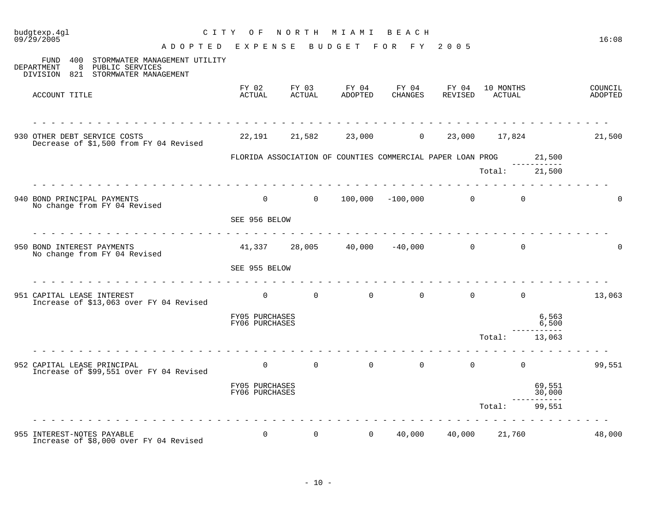| budgtexp.4gl<br>C I T Y<br>09/29/2005<br>A D O P T E D                                                                         | O F<br>EXPENSE                   | NORTH                                                      | M I A M I<br>BUDGET | BEACH<br>FOR FY  | 2 0 0 5                       |                     |                               | 16:08              |
|--------------------------------------------------------------------------------------------------------------------------------|----------------------------------|------------------------------------------------------------|---------------------|------------------|-------------------------------|---------------------|-------------------------------|--------------------|
| 400<br>STORMWATER MANAGEMENT UTILITY<br>FUND<br>DEPARTMENT<br>8<br>PUBLIC SERVICES<br>DIVISION<br>821<br>STORMWATER MANAGEMENT |                                  |                                                            |                     |                  |                               |                     |                               |                    |
| ACCOUNT TITLE                                                                                                                  | FY 02<br>ACTUAL                  | FY 03<br>ACTUAL                                            | FY 04<br>ADOPTED    | FY 04<br>CHANGES | FY 04<br>REVISED              | 10 MONTHS<br>ACTUAL |                               | COUNCIL<br>ADOPTED |
| 930 OTHER DEBT SERVICE COSTS<br>Decrease of \$1,500 from FY 04 Revised                                                         | 22,191                           | 21,582                                                     | 23,000              | $\overline{0}$   |                               | 23,000 17,824       |                               | 21,500             |
|                                                                                                                                |                                  | FLORIDA ASSOCIATION OF COUNTIES COMMERCIAL PAPER LOAN PROG |                     |                  |                               | Total:              | 21,500<br>---------<br>21,500 |                    |
| die die die die die die d<br>940 BOND PRINCIPAL PAYMENTS<br>No change from FY 04 Revised                                       | $\overline{0}$                   | $\sim$ 0                                                   |                     |                  | $100,000$ $-100,000$ 0        | $\overline{0}$      |                               | U                  |
|                                                                                                                                | SEE 956 BELOW                    |                                                            |                     |                  |                               |                     |                               |                    |
| 950 BOND INTEREST PAYMENTS<br>No change from FY 04 Revised                                                                     | 41,337                           |                                                            |                     |                  | $28,005$ $40,000$ $-40,000$ 0 | $\Omega$            |                               | U                  |
|                                                                                                                                | SEE 955 BELOW                    |                                                            |                     |                  |                               |                     |                               |                    |
| 951 CAPITAL LEASE INTEREST<br>Increase of \$13,063 over FY 04 Revised                                                          | $\overline{0}$                   | $\overline{0}$                                             | $\overline{0}$      | $\overline{0}$   | $\overline{0}$                | $\mathsf{O}$        |                               | 13,063             |
|                                                                                                                                | FY05 PURCHASES<br>FY06 PURCHASES |                                                            |                     |                  |                               |                     | 6,563<br>6,500                |                    |
|                                                                                                                                |                                  |                                                            |                     |                  |                               | Total:              | 13,063                        |                    |
| 952 CAPITAL LEASE PRINCIPAL<br>Increase of \$99,551 over FY 04 Revised                                                         | $\overline{0}$                   | $\overline{0}$                                             | $\overline{0}$      | $\overline{0}$   | $\overline{0}$                | $\overline{0}$      |                               | 99,551             |
|                                                                                                                                | FY05 PURCHASES<br>FY06 PURCHASES |                                                            |                     |                  |                               |                     | 69,551<br>30,000              |                    |
|                                                                                                                                |                                  |                                                            |                     |                  |                               | Total:              | 99,551                        |                    |
| 955 INTEREST-NOTES PAYABLE<br>Increase of \$8,000 over FY 04 Revised                                                           | $\mathbf 0$                      | $\mathbf{0}$                                               | $\overline{0}$      | 40,000           | 40,000                        | 21,760              |                               | 48,000             |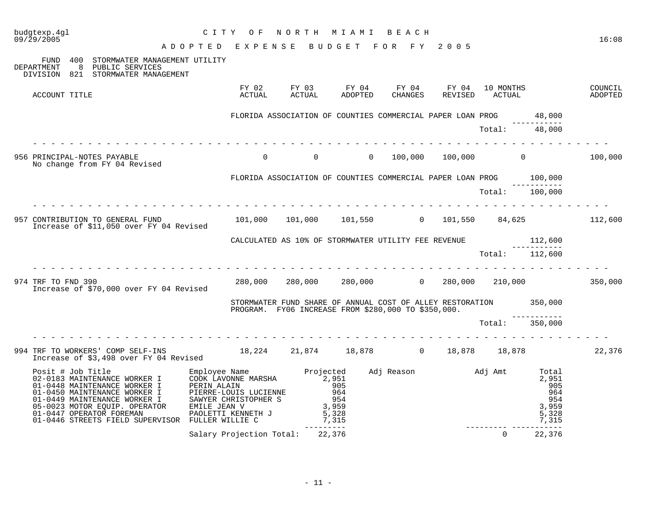| budgtexp.4ql<br>09/29/2005                                                                                   | CITY OF<br>NORTH MIAMI BEACH<br>CITY OF NORTH MIAMI BEACH<br>ADOPTED EXPENSE BUDGET FOR FY 2005                                                       | 16:08  |
|--------------------------------------------------------------------------------------------------------------|-------------------------------------------------------------------------------------------------------------------------------------------------------|--------|
| FUND 400 STORMWATER MANAGEMENT UTILITY<br>DEPARTMENT 8 PUBLIC SERVICES<br>DIVISION 821 STORMWATER MANAGEMENT |                                                                                                                                                       |        |
| ACCOUNT TITLE                                                                                                |                                                                                                                                                       |        |
|                                                                                                              | FLORIDA ASSOCIATION OF COUNTIES COMMERCIAL PAPER LOAN PROG 48,000                                                                                     |        |
| .                                                                                                            | $Total:$ $48,000$                                                                                                                                     |        |
| 956 PRINCIPAL-NOTES PAYABLE<br>No change from FY 04 Revised                                                  | $0 \qquad 100,000 \qquad 100,000 \qquad 0 \qquad 100,000$<br>$\begin{matrix} 0 & 0 \end{matrix}$                                                      |        |
|                                                                                                              | FLORIDA ASSOCIATION OF COUNTIES COMMERCIAL PAPER LOAN PROG 100,000                                                                                    |        |
|                                                                                                              | Total: 100,000                                                                                                                                        |        |
|                                                                                                              | 957 CONTRIBUTION TO GENERAL FUND 101,000 101,000 101,550 0 101,550 84,625 112,600<br>Increase of \$11,050 over FY 04 Revised                          |        |
|                                                                                                              | CALCULATED AS 10% OF STORMWATER UTILITY FEE REVENUE $112,600$                                                                                         |        |
|                                                                                                              | Total: 112,600                                                                                                                                        |        |
| Increase of \$70,000 over FY 04 Revised                                                                      | 974 TRF TO FND 390 CONSERVATION CONSERVATION CONSERVED BY AND TO 280,000 280,000 CONSERVED 210,000                                                    |        |
|                                                                                                              | STORMWATER FUND SHARE OF ANNUAL COST OF ALLEY RESTORATION 350,000<br>PROGRAM. FY06 INCREASE FROM \$280,000 TO \$350,000.                              |        |
|                                                                                                              | Total: 350,000                                                                                                                                        |        |
|                                                                                                              | 994 TRF TO WORKERS' COMP SELF-INS 18,224 21,874 18,878 0 18,878 18,878<br>Increase of \$3,498 over FY 04 Revised 18,224 21,874 18,878 0 18,878 18,878 | 22,376 |
|                                                                                                              |                                                                                                                                                       |        |
|                                                                                                              | $\overline{a}$<br>Salary Projection Total: 22,376<br>22,376                                                                                           |        |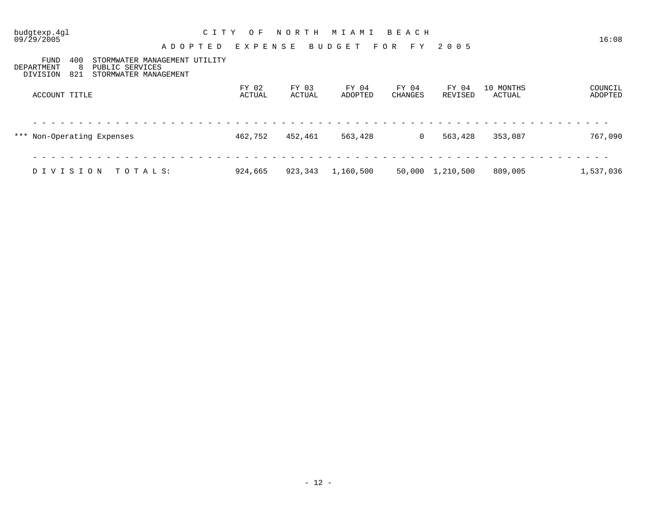| 09/29/2005                            |                  | A D O P T E D                                                             | E X P E N S E   |                 | BUDGET           | FOR FY           | 2 0 0 5          |                     | 16:08              |
|---------------------------------------|------------------|---------------------------------------------------------------------------|-----------------|-----------------|------------------|------------------|------------------|---------------------|--------------------|
| <b>FUND</b><br>DEPARTMENT<br>DIVISION | 400<br>-8<br>821 | STORMWATER MANAGEMENT UTILITY<br>PUBLIC SERVICES<br>STORMWATER MANAGEMENT |                 |                 |                  |                  |                  |                     |                    |
| ACCOUNT TITLE                         |                  |                                                                           | FY 02<br>ACTUAL | FY 03<br>ACTUAL | FY 04<br>ADOPTED | FY 04<br>CHANGES | FY 04<br>REVISED | 10 MONTHS<br>ACTUAL | COUNCIL<br>ADOPTED |
| *** Non-Operating Expenses            |                  |                                                                           | 462,752         | 452,461         | 563,428          | $\overline{0}$   | 563,428          | 353,087             | 767,090            |
| DIVISION                              |                  | TOTALS:                                                                   | 924,665         | 923,343         | 1,160,500        |                  | 50,000 1,210,500 | 809,005             | 1,537,036          |

budgtexp.4gl C I T Y O F N O R T H M I A M I B E A C H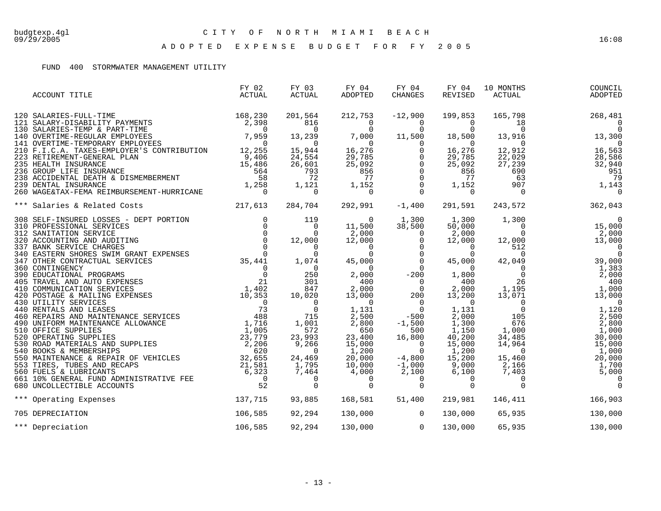A D O P T E D E X P E N S E B U D G E T F O R F Y 2 0 0 5

### FUND 400 STORMWATER MANAGEMENT UTILITY

| ACCOUNT TITLE                                                                                                                                                                                                                                 | FY 02<br>ACTUAL | FY 03<br>ACTUAL | FY 04<br>ADOPTED | FY 04<br><b>CHANGES</b> | FY 04<br>REVISED | 10 MONTHS<br>ACTUAL              | COUNCIL<br>ADOPTED                                                                                                                                                                                                                                                                         |
|-----------------------------------------------------------------------------------------------------------------------------------------------------------------------------------------------------------------------------------------------|-----------------|-----------------|------------------|-------------------------|------------------|----------------------------------|--------------------------------------------------------------------------------------------------------------------------------------------------------------------------------------------------------------------------------------------------------------------------------------------|
|                                                                                                                                                                                                                                               |                 |                 |                  |                         |                  |                                  |                                                                                                                                                                                                                                                                                            |
|                                                                                                                                                                                                                                               |                 |                 |                  |                         |                  |                                  |                                                                                                                                                                                                                                                                                            |
|                                                                                                                                                                                                                                               |                 |                 |                  |                         |                  |                                  |                                                                                                                                                                                                                                                                                            |
|                                                                                                                                                                                                                                               |                 |                 |                  |                         |                  |                                  |                                                                                                                                                                                                                                                                                            |
|                                                                                                                                                                                                                                               |                 |                 |                  |                         |                  |                                  |                                                                                                                                                                                                                                                                                            |
|                                                                                                                                                                                                                                               |                 |                 |                  |                         |                  |                                  |                                                                                                                                                                                                                                                                                            |
|                                                                                                                                                                                                                                               |                 |                 |                  |                         |                  |                                  |                                                                                                                                                                                                                                                                                            |
|                                                                                                                                                                                                                                               |                 |                 |                  |                         |                  |                                  |                                                                                                                                                                                                                                                                                            |
|                                                                                                                                                                                                                                               |                 |                 |                  |                         |                  |                                  |                                                                                                                                                                                                                                                                                            |
|                                                                                                                                                                                                                                               |                 |                 |                  |                         |                  |                                  |                                                                                                                                                                                                                                                                                            |
| *** Salaries & Related Costs 217,613 284,704                                                                                                                                                                                                  |                 |                 |                  | 292,991 -1,400          | 291,591          | 243,572                          | 362,043                                                                                                                                                                                                                                                                                    |
|                                                                                                                                                                                                                                               |                 |                 |                  |                         |                  | 1,300                            | $\overline{0}$                                                                                                                                                                                                                                                                             |
|                                                                                                                                                                                                                                               |                 |                 |                  |                         |                  | $\begin{matrix}0\\0\end{matrix}$ | 15,000                                                                                                                                                                                                                                                                                     |
|                                                                                                                                                                                                                                               |                 |                 |                  |                         |                  |                                  |                                                                                                                                                                                                                                                                                            |
|                                                                                                                                                                                                                                               |                 |                 |                  |                         |                  |                                  |                                                                                                                                                                                                                                                                                            |
|                                                                                                                                                                                                                                               |                 |                 |                  |                         |                  |                                  |                                                                                                                                                                                                                                                                                            |
|                                                                                                                                                                                                                                               |                 |                 |                  |                         |                  |                                  | $\begin{array}{cccc} 50,000 & 0 & 15,000 \\ 2,000 & 0 & 2,000 \\ 12,000 & 12,000 & 13,000 \\ 0 & 512 & 0 & 0 \\ 45,000 & 42,049 & 39,000 \\ 0 & 0 & 0 & 1,383 \\ 1,800 & 0 & 26 & 400 \\ 400 & 26 & 400 \\ 2,000 & 1,195 & 1,000 \\ 1,131 & 0 & 1,120 \\ 2,000 & 105 & 2,500 \\ 1,130 & 0$ |
|                                                                                                                                                                                                                                               |                 |                 |                  |                         |                  |                                  |                                                                                                                                                                                                                                                                                            |
|                                                                                                                                                                                                                                               |                 |                 |                  |                         |                  |                                  |                                                                                                                                                                                                                                                                                            |
|                                                                                                                                                                                                                                               |                 |                 |                  |                         |                  |                                  |                                                                                                                                                                                                                                                                                            |
|                                                                                                                                                                                                                                               |                 |                 |                  |                         |                  |                                  |                                                                                                                                                                                                                                                                                            |
|                                                                                                                                                                                                                                               |                 |                 |                  |                         |                  |                                  |                                                                                                                                                                                                                                                                                            |
|                                                                                                                                                                                                                                               |                 |                 |                  |                         |                  |                                  |                                                                                                                                                                                                                                                                                            |
|                                                                                                                                                                                                                                               |                 |                 |                  |                         |                  |                                  |                                                                                                                                                                                                                                                                                            |
|                                                                                                                                                                                                                                               |                 |                 |                  |                         |                  |                                  |                                                                                                                                                                                                                                                                                            |
|                                                                                                                                                                                                                                               |                 |                 |                  |                         |                  |                                  |                                                                                                                                                                                                                                                                                            |
|                                                                                                                                                                                                                                               |                 |                 |                  |                         |                  |                                  | 30,000                                                                                                                                                                                                                                                                                     |
|                                                                                                                                                                                                                                               |                 |                 |                  |                         |                  | $34,485$<br>14,964<br>0          | 15,000                                                                                                                                                                                                                                                                                     |
|                                                                                                                                                                                                                                               |                 |                 |                  |                         |                  |                                  | 1,000                                                                                                                                                                                                                                                                                      |
|                                                                                                                                                                                                                                               |                 |                 |                  |                         |                  | 15,460<br>2,166                  | 20,000                                                                                                                                                                                                                                                                                     |
|                                                                                                                                                                                                                                               |                 |                 |                  |                         |                  |                                  | 1,700                                                                                                                                                                                                                                                                                      |
|                                                                                                                                                                                                                                               |                 |                 |                  |                         |                  | $7,403$<br>0                     | 5,000                                                                                                                                                                                                                                                                                      |
| *** Salaris & Related Costs<br>308 SELF-INSURED LOGSES - DET PORTION<br>312 SANITATION SERVICE<br>312 SANITATION SERVICE<br>312 SANITATION SERVICE<br>312 SANITATION SERVICE<br>312 SANITATION SERVICE<br>312 SANITATION SERVICE<br>312 SANIT |                 |                 |                  |                         |                  | $\Omega$                         | $\Omega$                                                                                                                                                                                                                                                                                   |
| 137, 715<br>*** Operating Expenses                                                                                                                                                                                                            |                 | 93,885          | 168,581          | 51,400                  | 219,981          | 146,411                          | 166,903                                                                                                                                                                                                                                                                                    |
| 705 DEPRECIATION                                                                                                                                                                                                                              | 106,585         | 92,294          | 130,000 0        |                         | 130,000          | 65,935                           | 130,000                                                                                                                                                                                                                                                                                    |
| *** Depreciation                                                                                                                                                                                                                              | 106,585         | 92,294          |                  | 130,000 0               | 130,000          | 65,935                           | 130,000                                                                                                                                                                                                                                                                                    |